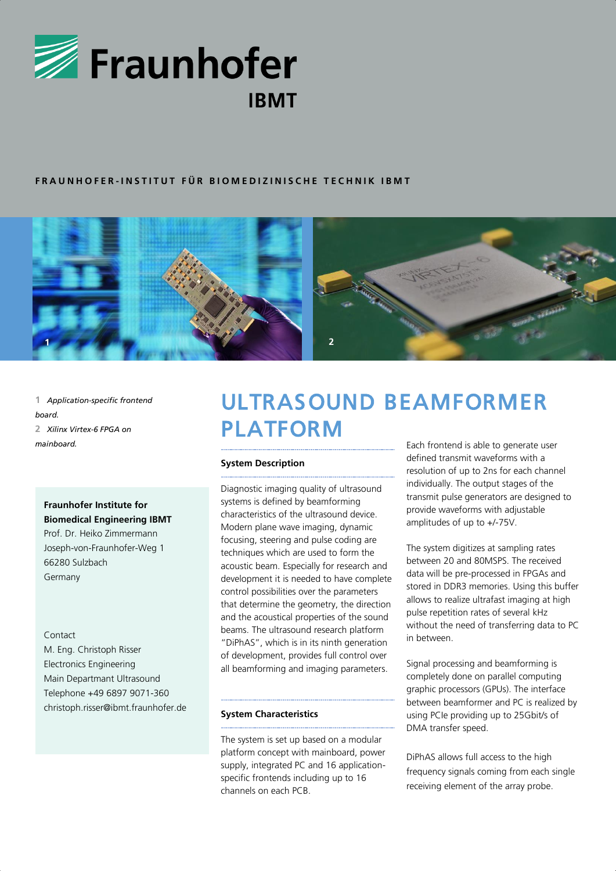

# **F R A U N H O F E R - I N S T I T U T F Ü R B I O M E D I Z I N I S C H E T E C H N I K I B M T**



**1** *Application-specific frontend board.* **2** *Xilinx Virtex-6 FPGA on mainboard.*

**Fraunhofer Institute for Biomedical Engineering IBMT** Prof. Dr. Heiko Zimmermann Joseph-von-Fraunhofer-Weg 1 66280 Sulzbach

Germany

#### Contact

M. Eng. Christoph Risser Electronics Engineering Main Departmant Ultrasound Telephone +49 6897 9071-360 christoph.risser@ibmt.fraunhofer.de

# ULTRASOUND BEAMFORMER PLATFORM

## **System Description**

Diagnostic imaging quality of ultrasound systems is defined by beamforming characteristics of the ultrasound device. Modern plane wave imaging, dynamic focusing, steering and pulse coding are techniques which are used to form the acoustic beam. Especially for research and development it is needed to have complete control possibilities over the parameters that determine the geometry, the direction and the acoustical properties of the sound beams. The ultrasound research platform "DiPhAS", which is in its ninth generation of development, provides full control over all beamforming and imaging parameters.

### **System Characteristics**

The system is set up based on a modular platform concept with mainboard, power supply, integrated PC and 16 applicationspecific frontends including up to 16 channels on each PCB.

Each frontend is able to generate user defined transmit waveforms with a resolution of up to 2ns for each channel individually. The output stages of the transmit pulse generators are designed to provide waveforms with adjustable amplitudes of up to +/-75V.

The system digitizes at sampling rates between 20 and 80MSPS. The received data will be pre-processed in FPGAs and stored in DDR3 memories. Using this buffer allows to realize ultrafast imaging at high pulse repetition rates of several kHz without the need of transferring data to PC in between.

Signal processing and beamforming is completely done on parallel computing graphic processors (GPUs). The interface between beamformer and PC is realized by using PCIe providing up to 25Gbit/s of DMA transfer speed.

DiPhAS allows full access to the high frequency signals coming from each single receiving element of the array probe.